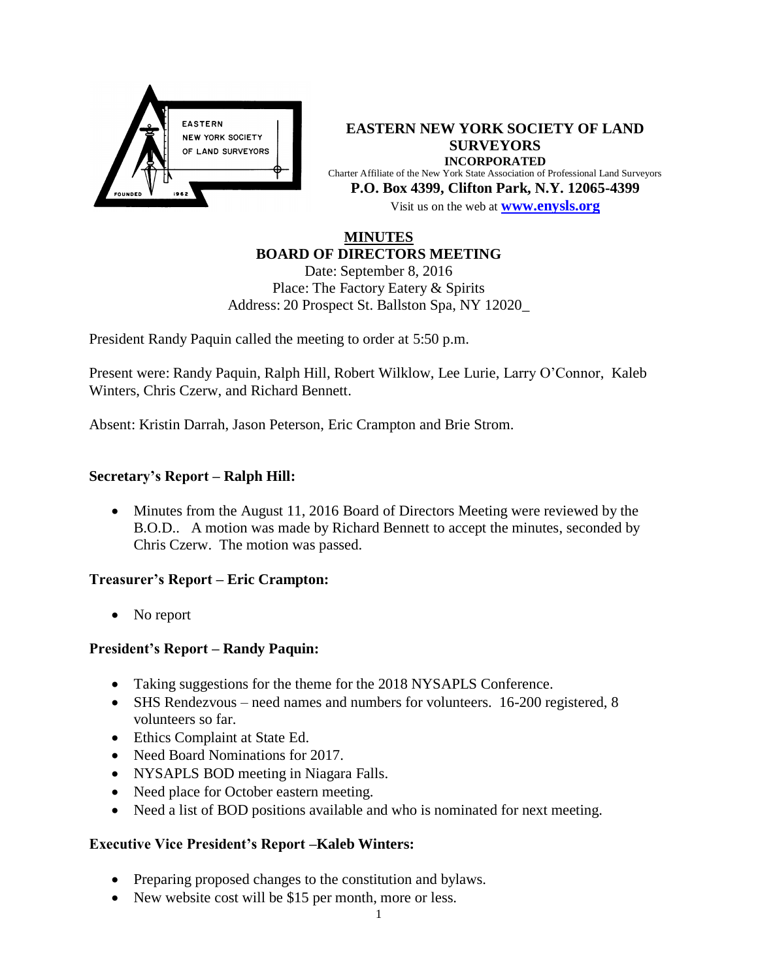

**EASTERN NEW YORK SOCIETY OF LAND SURVEYORS INCORPORATED** Charter Affiliate of the New York State Association of Professional Land Surveyors **P.O. Box 4399, Clifton Park, N.Y. 12065-4399** Visit us on the web at **[www.e](http://www.enysls.org/)nysls.org**

## **MINUTES BOARD OF DIRECTORS MEETING**

Date: September 8, 2016 Place: The Factory Eatery & Spirits Address: 20 Prospect St. Ballston Spa, NY 12020\_

President Randy Paquin called the meeting to order at 5:50 p.m.

Present were: Randy Paquin, Ralph Hill, Robert Wilklow, Lee Lurie, Larry O'Connor, Kaleb Winters, Chris Czerw, and Richard Bennett.

Absent: Kristin Darrah, Jason Peterson, Eric Crampton and Brie Strom.

## **Secretary's Report – Ralph Hill:**

 Minutes from the August 11, 2016 Board of Directors Meeting were reviewed by the B.O.D.. A motion was made by Richard Bennett to accept the minutes, seconded by Chris Czerw. The motion was passed.

### **Treasurer's Report – Eric Crampton:**

• No report

## **President's Report – Randy Paquin:**

- Taking suggestions for the theme for the 2018 NYSAPLS Conference.
- SHS Rendezvous need names and numbers for volunteers. 16-200 registered, 8 volunteers so far.
- Ethics Complaint at State Ed.
- Need Board Nominations for 2017.
- NYSAPLS BOD meeting in Niagara Falls.
- Need place for October eastern meeting.
- Need a list of BOD positions available and who is nominated for next meeting.

## **Executive Vice President's Report –Kaleb Winters:**

- Preparing proposed changes to the constitution and bylaws.
- New website cost will be \$15 per month, more or less.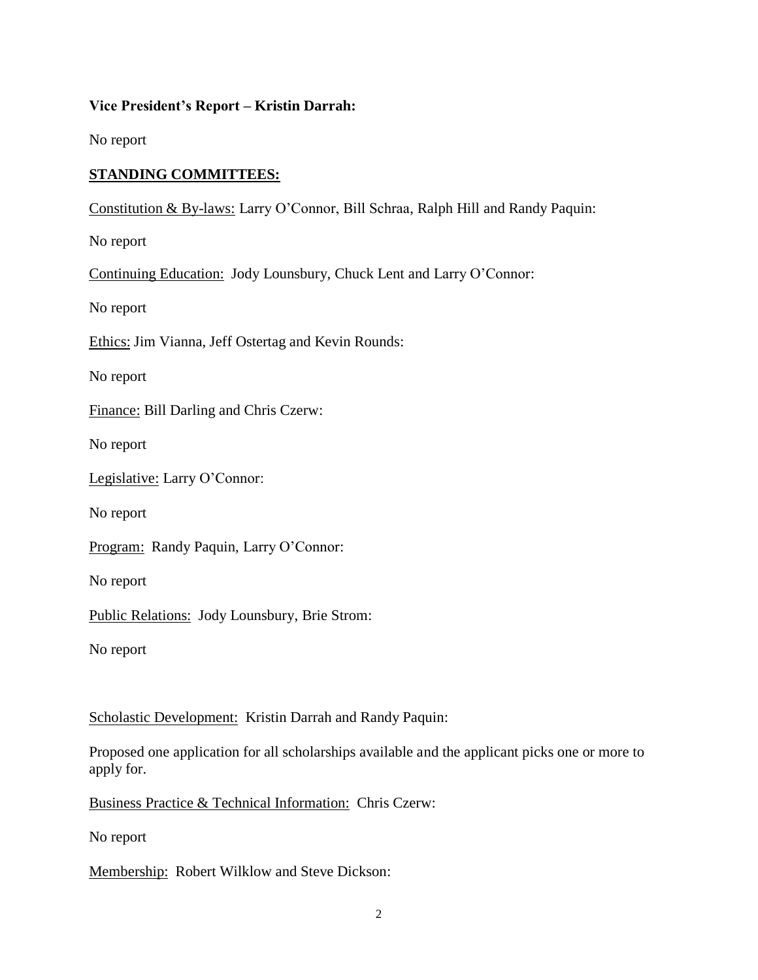### **Vice President's Report – Kristin Darrah:**

No report

# **STANDING COMMITTEES:**

Constitution & By-laws: Larry O'Connor, Bill Schraa, Ralph Hill and Randy Paquin:

No report

Continuing Education: Jody Lounsbury, Chuck Lent and Larry O'Connor:

No report

Ethics: Jim Vianna, Jeff Ostertag and Kevin Rounds:

No report

Finance: Bill Darling and Chris Czerw:

No report

Legislative: Larry O'Connor:

No report

Program: Randy Paquin, Larry O'Connor:

No report

Public Relations: Jody Lounsbury, Brie Strom:

No report

Scholastic Development: Kristin Darrah and Randy Paquin:

Proposed one application for all scholarships available and the applicant picks one or more to apply for.

Business Practice & Technical Information: Chris Czerw:

No report

Membership: Robert Wilklow and Steve Dickson: